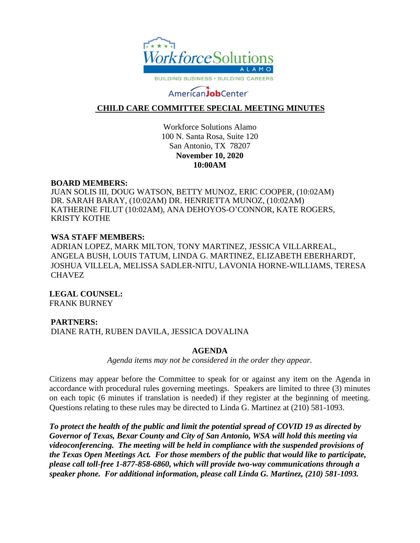

# AmericanJobCenter®

## **CHILD CARE COMMITTEE SPECIAL MEETING MINUTES**

Workforce Solutions Alamo 100 N. Santa Rosa, Suite 120 San Antonio, TX 78207 **November 10, 2020 10:00AM**

#### **BOARD MEMBERS:**

JUAN SOLIS III, DOUG WATSON, BETTY MUNOZ, ERIC COOPER, (10:02AM) DR. SARAH BARAY, (10:02AM) DR. HENRIETTA MUNOZ, (10:02AM) KATHERINE FILUT (10:02AM), ANA DEHOYOS-O'CONNOR, KATE ROGERS, KRISTY KOTHE

#### **WSA STAFF MEMBERS:**

ADRIAN LOPEZ, MARK MILTON, TONY MARTINEZ, JESSICA VILLARREAL, ANGELA BUSH, LOUIS TATUM, LINDA G. MARTINEZ, ELIZABETH EBERHARDT, JOSHUA VILLELA, MELISSA SADLER-NITU, LAVONIA HORNE-WILLIAMS, TERESA **CHAVEZ** 

**LEGAL COUNSEL:** FRANK BURNEY

## **PARTNERS:**

DIANE RATH, RUBEN DAVILA, JESSICA DOVALINA

#### **AGENDA**

*Agenda items may not be considered in the order they appear.*

Citizens may appear before the Committee to speak for or against any item on the Agenda in accordance with procedural rules governing meetings. Speakers are limited to three (3) minutes on each topic (6 minutes if translation is needed) if they register at the beginning of meeting. Questions relating to these rules may be directed to Linda G. Martinez at (210) 581-1093.

*To protect the health of the public and limit the potential spread of COVID 19 as directed by Governor of Texas, Bexar County and City of San Antonio, WSA will hold this meeting via videoconferencing. The meeting will be held in compliance with the suspended provisions of the Texas Open Meetings Act. For those members of the public that would like to participate, please call toll-free 1-877-858-6860, which will provide two-way communications through a speaker phone. For additional information, please call Linda G. Martinez, (210) 581-1093.*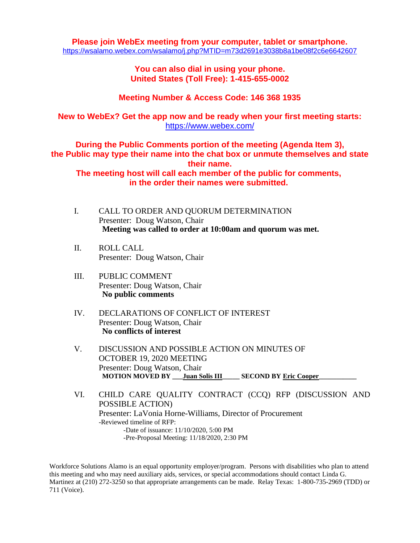#### **You can also dial in using your phone. United States (Toll Free): 1-415-655-0002**

## **Meeting Number & Access Code: 146 368 1935**

**New to WebEx? Get the app now and be ready when your first meeting starts:**  <https://www.webex.com/>

**During the Public Comments portion of the meeting (Agenda Item 3), the Public may type their name into the chat box or unmute themselves and state their name.**

**The meeting host will call each member of the public for comments, in the order their names were submitted.**

- I. CALL TO ORDER AND QUORUM DETERMINATION Presenter: Doug Watson, Chair **Meeting was called to order at 10:00am and quorum was met.**
- II. ROLL CALL Presenter: Doug Watson, Chair
- III. PUBLIC COMMENT Presenter: Doug Watson, Chair **No public comments**
- IV. DECLARATIONS OF CONFLICT OF INTEREST Presenter: Doug Watson, Chair **No conflicts of interest**
- V. DISCUSSION AND POSSIBLE ACTION ON MINUTES OF OCTOBER 19, 2020 MEETING Presenter: Doug Watson, Chair **MOTION MOVED BY Juan Solis III SECOND BY Eric Cooper**
- VI. CHILD CARE QUALITY CONTRACT (CCQ) RFP (DISCUSSION AND POSSIBLE ACTION) Presenter: LaVonia Horne-Williams, Director of Procurement -Reviewed timeline of RFP: -Date of issuance: 11/10/2020, 5:00 PM -Pre-Proposal Meeting: 11/18/2020, 2:30 PM

Workforce Solutions Alamo is an equal opportunity employer/program. Persons with disabilities who plan to attend this meeting and who may need auxiliary aids, services, or special accommodations should contact Linda G. Martinez at (210) 272-3250 so that appropriate arrangements can be made. Relay Texas: 1-800-735-2969 (TDD) or 711 (Voice).